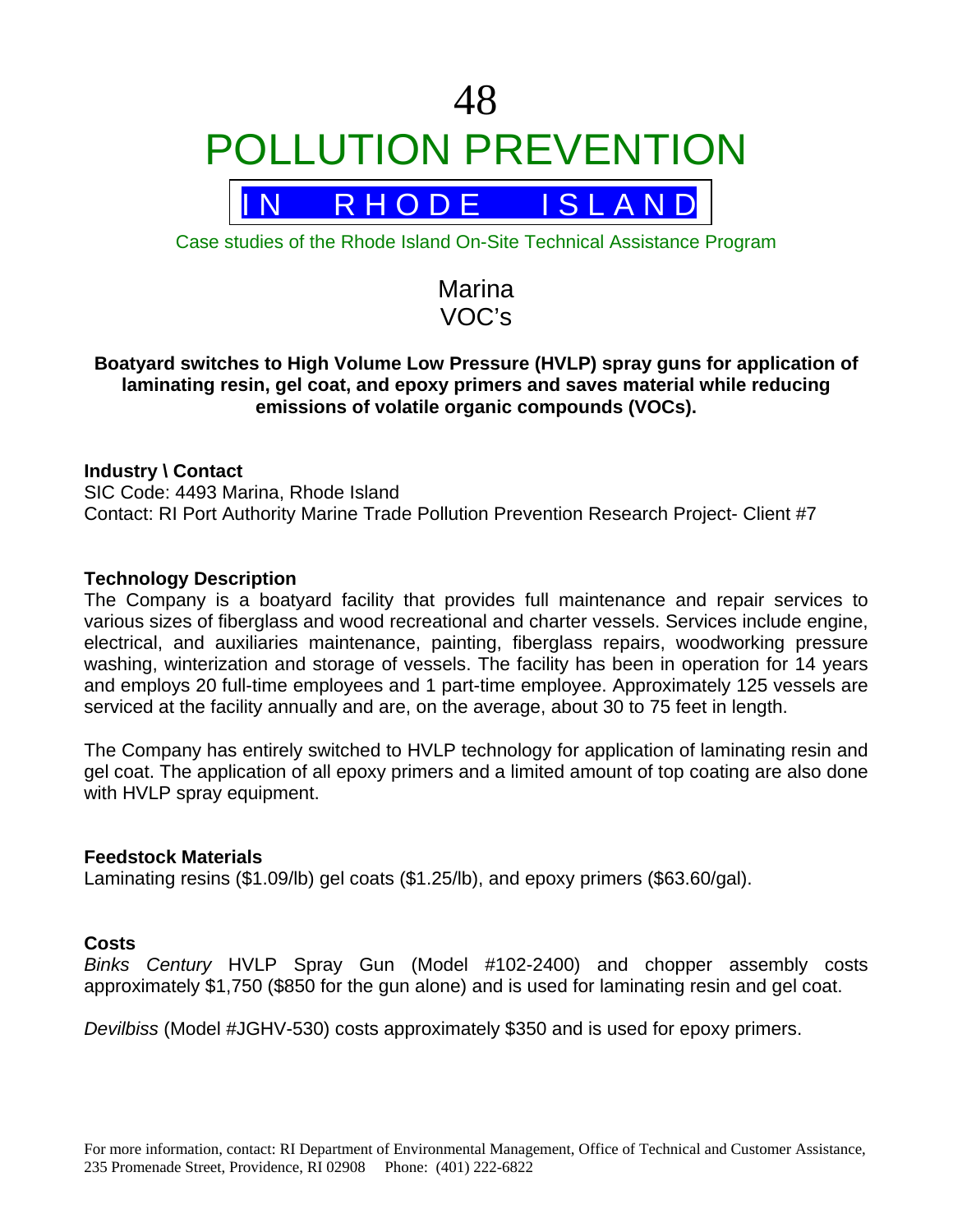

Case studies of the Rhode Island On-Site Technical Assistance Program

Marina VOC's

# **Boatyard switches to High Volume Low Pressure (HVLP) spray guns for application of laminating resin, gel coat, and epoxy primers and saves material while reducing emissions of volatile organic compounds (VOCs).**

# **Industry \ Contact**

SIC Code: 4493 Marina, Rhode Island Contact: RI Port Authority Marine Trade Pollution Prevention Research Project- Client #7

# **Technology Description**

The Company is a boatyard facility that provides full maintenance and repair services to various sizes of fiberglass and wood recreational and charter vessels. Services include engine, electrical, and auxiliaries maintenance, painting, fiberglass repairs, woodworking pressure washing, winterization and storage of vessels. The facility has been in operation for 14 years and employs 20 full-time employees and 1 part-time employee. Approximately 125 vessels are serviced at the facility annually and are, on the average, about 30 to 75 feet in length.

The Company has entirely switched to HVLP technology for application of laminating resin and gel coat. The application of all epoxy primers and a limited amount of top coating are also done with HVLP spray equipment.

#### **Feedstock Materials**

Laminating resins (\$1.09/lb) gel coats (\$1.25/lb), and epoxy primers (\$63.60/gal).

# **Costs**

*Binks Century* HVLP Spray Gun (Model #102-2400) and chopper assembly costs approximately \$1,750 (\$850 for the gun alone) and is used for laminating resin and gel coat.

*Devilbiss* (Model #JGHV-530) costs approximately \$350 and is used for epoxy primers.